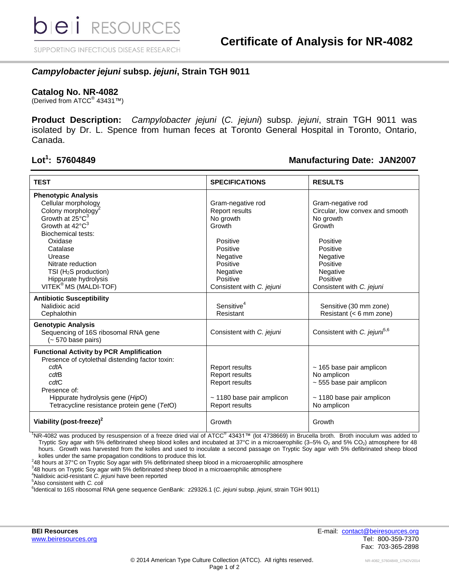SUPPORTING INFECTIOUS DISEASE RESEARCH

## *Campylobacter jejuni* **subsp.** *jejuni***, Strain TGH 9011**

#### **Catalog No. NR-4082**

(Derived from ATCC® 43431™)

**Product Description:** *Campylobacter jejuni* (*C. jejuni*) subsp. *jejuni*, strain TGH 9011 was isolated by Dr. L. Spence from human feces at Toronto General Hospital in Toronto, Ontario, Canada.

#### Lot<sup>1</sup>: 57604849

### **: 57604849 Manufacturing Date: JAN2007**

| <b>TEST</b>                                                                                                                                                                                                                                                                                                                   | <b>SPECIFICATIONS</b>                                                                                                                                                  | <b>RESULTS</b>                                                                                                                                                                   |
|-------------------------------------------------------------------------------------------------------------------------------------------------------------------------------------------------------------------------------------------------------------------------------------------------------------------------------|------------------------------------------------------------------------------------------------------------------------------------------------------------------------|----------------------------------------------------------------------------------------------------------------------------------------------------------------------------------|
| <b>Phenotypic Analysis</b><br>Cellular morphology<br>Colony morphology <sup>2</sup><br>Growth at 25°C <sup>3</sup><br>Growth at 42°C <sup>3</sup><br><b>Biochemical tests:</b><br>Oxidase<br>Catalase<br>Urease<br>Nitrate reduction<br>TSI ( $H_2S$ production)<br>Hippurate hydrolysis<br>VITEK <sup>®</sup> MS (MALDI-TOF) | Gram-negative rod<br><b>Report results</b><br>No growth<br>Growth<br>Positive<br>Positive<br>Negative<br>Positive<br>Negative<br>Positive<br>Consistent with C. jejuni | Gram-negative rod<br>Circular, low convex and smooth<br>No growth<br>Growth<br>Positive<br>Positive<br>Negative<br>Positive<br>Negative<br>Positive<br>Consistent with C. jejuni |
| <b>Antibiotic Susceptibility</b><br>Nalidixic acid<br>Cephalothin                                                                                                                                                                                                                                                             | Sensitive <sup>4</sup><br>Resistant                                                                                                                                    | Sensitive (30 mm zone)<br>Resistant (< 6 mm zone)                                                                                                                                |
| <b>Genotypic Analysis</b><br>Sequencing of 16S ribosomal RNA gene<br>$(-570 \text{ base pairs})$                                                                                                                                                                                                                              | Consistent with C. jejuni                                                                                                                                              | Consistent with C. jejuni <sup>5,6</sup>                                                                                                                                         |
| <b>Functional Activity by PCR Amplification</b><br>Presence of cytolethal distending factor toxin:<br>cdtA<br>cdtB<br>cdtC<br>Presence of:<br>Hippurate hydrolysis gene (HipO)<br>Tetracycline resistance protein gene (TetO)                                                                                                 | <b>Report results</b><br><b>Report results</b><br><b>Report results</b><br>~ 1180 base pair amplicon<br><b>Report results</b>                                          | $\sim$ 165 base pair amplicon<br>No amplicon<br>$\sim$ 555 base pair amplicon<br>$\sim$ 1180 base pair amplicon<br>No amplicon                                                   |
| Viability (post-freeze) <sup>2</sup>                                                                                                                                                                                                                                                                                          | Growth                                                                                                                                                                 | Growth                                                                                                                                                                           |

<sup>1</sup>NR-4082 was produced by resuspension of a freeze dried vial of ATCC<sup>®</sup> 43431™ (lot 4738669) in Brucella broth. Broth inoculum was added to Tryptic Soy agar with 5% defibrinated sheep blood kolles and incubated at 37°C in a microaerophilic (3–5% O<sub>2</sub> and 5% CO<sub>2</sub>) atmosphere for 48 hours. Growth was harvested from the kolles and used to inoculate a second passage on Tryptic Soy agar with 5% defibrinated sheep blood kolles under the same propagation conditions to produce this lot.

2 48 hours at 37°C on Tryptic Soy agar with 5% defibrinated sheep blood in a microaerophilic atmosphere

3 48 hours on Tryptic Soy agar with 5% defibrinated sheep blood in a microaerophilic atmosphere

<sup>4</sup>Nalidixic acid-resistant *C. jejuni* have been reported

<sup>5</sup>Also consistent with *C. coli*

6 Identical to 16S ribosomal RNA gene sequence GenBank: z29326.1 (*C. jejuni* subsp. *jejuni*, strain TGH 9011)